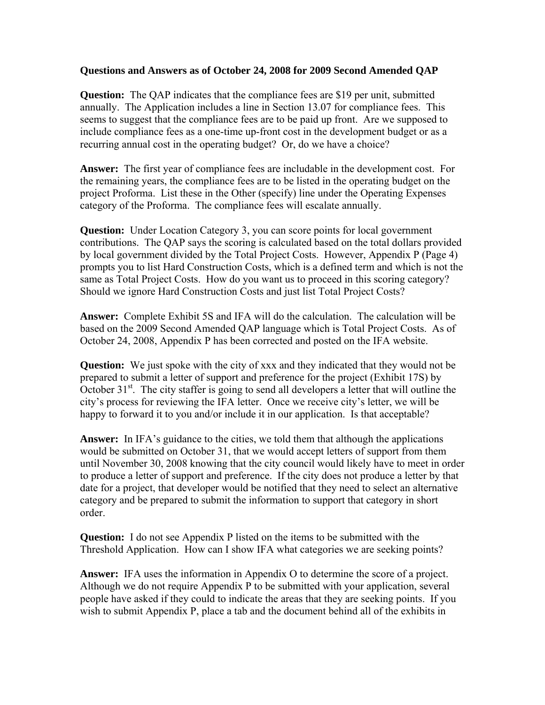## **Questions and Answers as of October 24, 2008 for 2009 Second Amended QAP**

**Question:** The QAP indicates that the compliance fees are \$19 per unit, submitted annually. The Application includes a line in Section 13.07 for compliance fees. This seems to suggest that the compliance fees are to be paid up front. Are we supposed to include compliance fees as a one-time up-front cost in the development budget or as a recurring annual cost in the operating budget? Or, do we have a choice?

**Answer:** The first year of compliance fees are includable in the development cost. For the remaining years, the compliance fees are to be listed in the operating budget on the project Proforma. List these in the Other (specify) line under the Operating Expenses category of the Proforma. The compliance fees will escalate annually.

**Question:** Under Location Category 3, you can score points for local government contributions. The QAP says the scoring is calculated based on the total dollars provided by local government divided by the Total Project Costs. However, Appendix P (Page 4) prompts you to list Hard Construction Costs, which is a defined term and which is not the same as Total Project Costs. How do you want us to proceed in this scoring category? Should we ignore Hard Construction Costs and just list Total Project Costs?

**Answer:** Complete Exhibit 5S and IFA will do the calculation. The calculation will be based on the 2009 Second Amended QAP language which is Total Project Costs. As of October 24, 2008, Appendix P has been corrected and posted on the IFA website.

**Question:** We just spoke with the city of xxx and they indicated that they would not be prepared to submit a letter of support and preference for the project (Exhibit 17S) by October  $31<sup>st</sup>$ . The city staffer is going to send all developers a letter that will outline the city's process for reviewing the IFA letter. Once we receive city's letter, we will be happy to forward it to you and/or include it in our application. Is that acceptable?

**Answer:** In IFA's guidance to the cities, we told them that although the applications would be submitted on October 31, that we would accept letters of support from them until November 30, 2008 knowing that the city council would likely have to meet in order to produce a letter of support and preference. If the city does not produce a letter by that date for a project, that developer would be notified that they need to select an alternative category and be prepared to submit the information to support that category in short order.

**Question:** I do not see Appendix P listed on the items to be submitted with the Threshold Application. How can I show IFA what categories we are seeking points?

**Answer:** IFA uses the information in Appendix O to determine the score of a project. Although we do not require Appendix P to be submitted with your application, several people have asked if they could to indicate the areas that they are seeking points. If you wish to submit Appendix P, place a tab and the document behind all of the exhibits in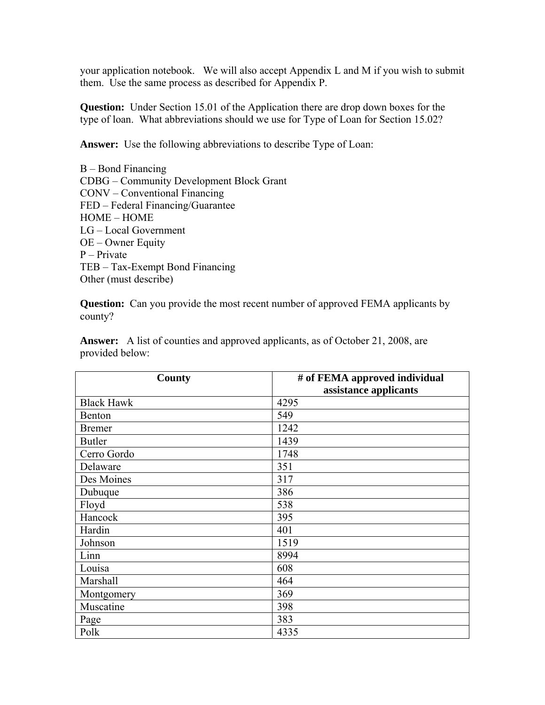your application notebook. We will also accept Appendix L and M if you wish to submit them. Use the same process as described for Appendix P.

**Question:** Under Section 15.01 of the Application there are drop down boxes for the type of loan. What abbreviations should we use for Type of Loan for Section 15.02?

**Answer:** Use the following abbreviations to describe Type of Loan:

B – Bond Financing CDBG – Community Development Block Grant CONV – Conventional Financing FED – Federal Financing/Guarantee HOME – HOME LG – Local Government OE – Owner Equity P – Private TEB – Tax-Exempt Bond Financing Other (must describe)

**Question:** Can you provide the most recent number of approved FEMA applicants by county?

**Answer:** A list of counties and approved applicants, as of October 21, 2008, are provided below:

| <b>County</b>     | # of FEMA approved individual |
|-------------------|-------------------------------|
|                   | assistance applicants         |
| <b>Black Hawk</b> | 4295                          |
| Benton            | 549                           |
| <b>Bremer</b>     | 1242                          |
| <b>Butler</b>     | 1439                          |
| Cerro Gordo       | 1748                          |
| Delaware          | 351                           |
| Des Moines        | 317                           |
| Dubuque           | 386                           |
| Floyd             | 538                           |
| Hancock           | 395                           |
| Hardin            | 401                           |
| Johnson           | 1519                          |
| Linn              | 8994                          |
| Louisa            | 608                           |
| Marshall          | 464                           |
| Montgomery        | 369                           |
| Muscatine         | 398                           |
| Page              | 383                           |
| Polk              | 4335                          |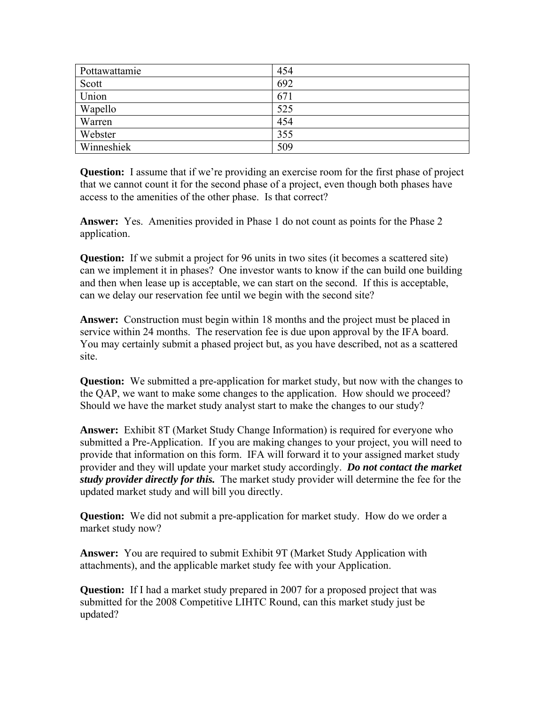| Pottawattamie | 454 |
|---------------|-----|
| Scott         | 692 |
| Union         | 671 |
| Wapello       | 525 |
| Warren        | 454 |
| Webster       | 355 |
| Winneshiek    | 509 |

**Question:** I assume that if we're providing an exercise room for the first phase of project that we cannot count it for the second phase of a project, even though both phases have access to the amenities of the other phase. Is that correct?

**Answer:** Yes. Amenities provided in Phase 1 do not count as points for the Phase 2 application.

**Question:** If we submit a project for 96 units in two sites (it becomes a scattered site) can we implement it in phases? One investor wants to know if the can build one building and then when lease up is acceptable, we can start on the second. If this is acceptable, can we delay our reservation fee until we begin with the second site?

**Answer:** Construction must begin within 18 months and the project must be placed in service within 24 months. The reservation fee is due upon approval by the IFA board. You may certainly submit a phased project but, as you have described, not as a scattered site.

**Question:** We submitted a pre-application for market study, but now with the changes to the QAP, we want to make some changes to the application. How should we proceed? Should we have the market study analyst start to make the changes to our study?

**Answer:** Exhibit 8T (Market Study Change Information) is required for everyone who submitted a Pre-Application. If you are making changes to your project, you will need to provide that information on this form. IFA will forward it to your assigned market study provider and they will update your market study accordingly. *Do not contact the market study provider directly for this.* The market study provider will determine the fee for the updated market study and will bill you directly.

**Question:** We did not submit a pre-application for market study. How do we order a market study now?

**Answer:** You are required to submit Exhibit 9T (Market Study Application with attachments), and the applicable market study fee with your Application.

**Question:** If I had a market study prepared in 2007 for a proposed project that was submitted for the 2008 Competitive LIHTC Round, can this market study just be updated?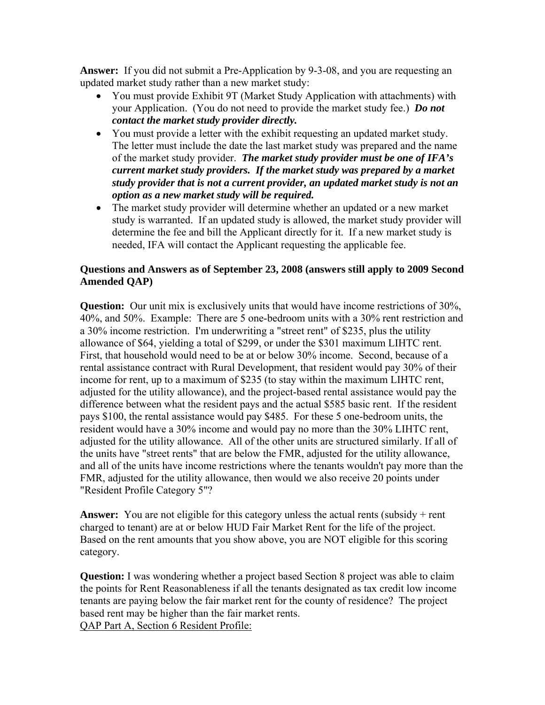**Answer:** If you did not submit a Pre-Application by 9-3-08, and you are requesting an updated market study rather than a new market study:

- You must provide Exhibit 9T (Market Study Application with attachments) with your Application. (You do not need to provide the market study fee.) *Do not contact the market study provider directly.*
- You must provide a letter with the exhibit requesting an updated market study. The letter must include the date the last market study was prepared and the name of the market study provider. *The market study provider must be one of IFA's current market study providers. If the market study was prepared by a market study provider that is not a current provider, an updated market study is not an option as a new market study will be required.*
- The market study provider will determine whether an updated or a new market study is warranted. If an updated study is allowed, the market study provider will determine the fee and bill the Applicant directly for it. If a new market study is needed, IFA will contact the Applicant requesting the applicable fee.

## **Questions and Answers as of September 23, 2008 (answers still apply to 2009 Second Amended QAP)**

**Question:** Our unit mix is exclusively units that would have income restrictions of 30%, 40%, and 50%. Example: There are 5 one-bedroom units with a 30% rent restriction and a 30% income restriction. I'm underwriting a "street rent" of \$235, plus the utility allowance of \$64, yielding a total of \$299, or under the \$301 maximum LIHTC rent. First, that household would need to be at or below 30% income. Second, because of a rental assistance contract with Rural Development, that resident would pay 30% of their income for rent, up to a maximum of \$235 (to stay within the maximum LIHTC rent, adjusted for the utility allowance), and the project-based rental assistance would pay the difference between what the resident pays and the actual \$585 basic rent. If the resident pays \$100, the rental assistance would pay \$485. For these 5 one-bedroom units, the resident would have a 30% income and would pay no more than the 30% LIHTC rent, adjusted for the utility allowance. All of the other units are structured similarly. If all of the units have "street rents" that are below the FMR, adjusted for the utility allowance, and all of the units have income restrictions where the tenants wouldn't pay more than the FMR, adjusted for the utility allowance, then would we also receive 20 points under "Resident Profile Category 5"?

**Answer:** You are not eligible for this category unless the actual rents (subsidy + rent charged to tenant) are at or below HUD Fair Market Rent for the life of the project. Based on the rent amounts that you show above, you are NOT eligible for this scoring category.

**Question:** I was wondering whether a project based Section 8 project was able to claim the points for Rent Reasonableness if all the tenants designated as tax credit low income tenants are paying below the fair market rent for the county of residence? The project based rent may be higher than the fair market rents. QAP Part A, Section 6 Resident Profile: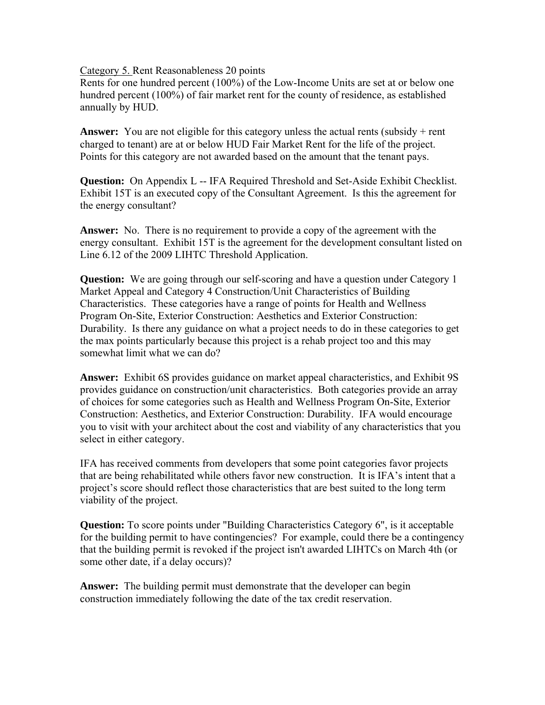Category 5. Rent Reasonableness 20 points

Rents for one hundred percent (100%) of the Low-Income Units are set at or below one hundred percent (100%) of fair market rent for the county of residence, as established annually by HUD.

Answer: You are not eligible for this category unless the actual rents (subsidy + rent charged to tenant) are at or below HUD Fair Market Rent for the life of the project. Points for this category are not awarded based on the amount that the tenant pays.

**Question:** On Appendix L -- IFA Required Threshold and Set-Aside Exhibit Checklist. Exhibit 15T is an executed copy of the Consultant Agreement. Is this the agreement for the energy consultant?

**Answer:** No. There is no requirement to provide a copy of the agreement with the energy consultant. Exhibit 15T is the agreement for the development consultant listed on Line 6.12 of the 2009 LIHTC Threshold Application.

**Question:** We are going through our self-scoring and have a question under Category 1 Market Appeal and Category 4 Construction/Unit Characteristics of Building Characteristics. These categories have a range of points for Health and Wellness Program On-Site, Exterior Construction: Aesthetics and Exterior Construction: Durability. Is there any guidance on what a project needs to do in these categories to get the max points particularly because this project is a rehab project too and this may somewhat limit what we can do?

**Answer:** Exhibit 6S provides guidance on market appeal characteristics, and Exhibit 9S provides guidance on construction/unit characteristics. Both categories provide an array of choices for some categories such as Health and Wellness Program On-Site, Exterior Construction: Aesthetics, and Exterior Construction: Durability. IFA would encourage you to visit with your architect about the cost and viability of any characteristics that you select in either category.

IFA has received comments from developers that some point categories favor projects that are being rehabilitated while others favor new construction. It is IFA's intent that a project's score should reflect those characteristics that are best suited to the long term viability of the project.

**Question:** To score points under "Building Characteristics Category 6", is it acceptable for the building permit to have contingencies? For example, could there be a contingency that the building permit is revoked if the project isn't awarded LIHTCs on March 4th (or some other date, if a delay occurs)?

**Answer:** The building permit must demonstrate that the developer can begin construction immediately following the date of the tax credit reservation.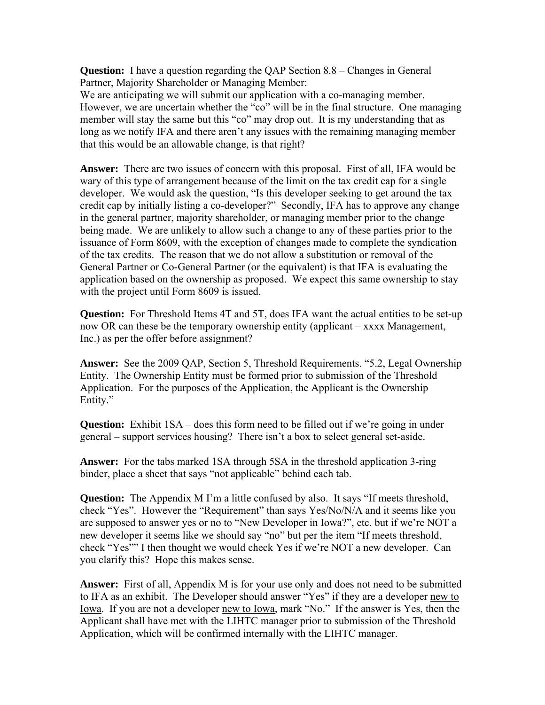**Question:** I have a question regarding the QAP Section 8.8 – Changes in General Partner, Majority Shareholder or Managing Member:

We are anticipating we will submit our application with a co-managing member. However, we are uncertain whether the "co" will be in the final structure. One managing member will stay the same but this "co" may drop out. It is my understanding that as long as we notify IFA and there aren't any issues with the remaining managing member that this would be an allowable change, is that right?

**Answer:** There are two issues of concern with this proposal. First of all, IFA would be wary of this type of arrangement because of the limit on the tax credit cap for a single developer. We would ask the question, "Is this developer seeking to get around the tax credit cap by initially listing a co-developer?" Secondly, IFA has to approve any change in the general partner, majority shareholder, or managing member prior to the change being made. We are unlikely to allow such a change to any of these parties prior to the issuance of Form 8609, with the exception of changes made to complete the syndication of the tax credits. The reason that we do not allow a substitution or removal of the General Partner or Co-General Partner (or the equivalent) is that IFA is evaluating the application based on the ownership as proposed. We expect this same ownership to stay with the project until Form 8609 is issued.

**Question:** For Threshold Items 4T and 5T, does IFA want the actual entities to be set-up now OR can these be the temporary ownership entity (applicant – xxxx Management, Inc.) as per the offer before assignment?

**Answer:** See the 2009 QAP, Section 5, Threshold Requirements. "5.2, Legal Ownership Entity. The Ownership Entity must be formed prior to submission of the Threshold Application. For the purposes of the Application, the Applicant is the Ownership Entity."

**Question:** Exhibit 1SA – does this form need to be filled out if we're going in under general – support services housing? There isn't a box to select general set-aside.

**Answer:** For the tabs marked 1SA through 5SA in the threshold application 3-ring binder, place a sheet that says "not applicable" behind each tab.

**Question:** The Appendix M I'm a little confused by also. It says "If meets threshold, check "Yes". However the "Requirement" than says Yes/No/N/A and it seems like you are supposed to answer yes or no to "New Developer in Iowa?", etc. but if we're NOT a new developer it seems like we should say "no" but per the item "If meets threshold, check "Yes"" I then thought we would check Yes if we're NOT a new developer. Can you clarify this? Hope this makes sense.

**Answer:** First of all, Appendix M is for your use only and does not need to be submitted to IFA as an exhibit. The Developer should answer "Yes" if they are a developer new to Iowa. If you are not a developer new to Iowa, mark "No." If the answer is Yes, then the Applicant shall have met with the LIHTC manager prior to submission of the Threshold Application, which will be confirmed internally with the LIHTC manager.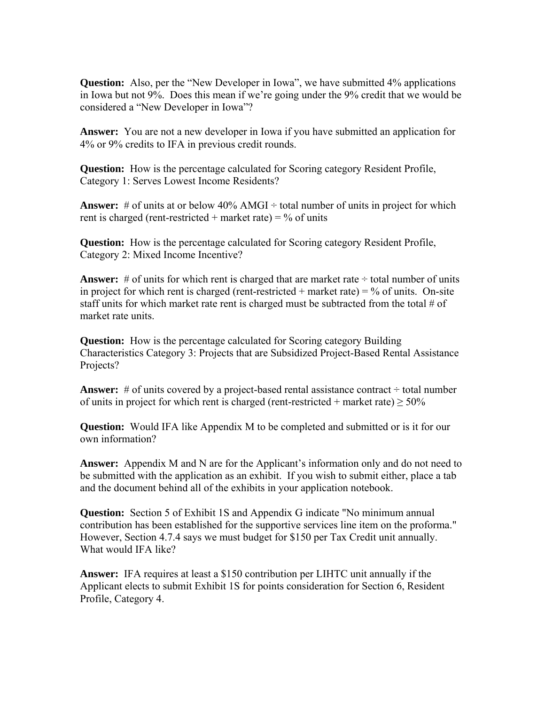**Question:** Also, per the "New Developer in Iowa", we have submitted 4% applications in Iowa but not 9%. Does this mean if we're going under the 9% credit that we would be considered a "New Developer in Iowa"?

**Answer:** You are not a new developer in Iowa if you have submitted an application for 4% or 9% credits to IFA in previous credit rounds.

**Question:** How is the percentage calculated for Scoring category Resident Profile, Category 1: Serves Lowest Income Residents?

**Answer:** # of units at or below  $40\%$  AMGI  $\div$  total number of units in project for which rent is charged (rent-restricted + market rate) =  $\%$  of units

**Question:** How is the percentage calculated for Scoring category Resident Profile, Category 2: Mixed Income Incentive?

**Answer:** # of units for which rent is charged that are market rate  $\div$  total number of units in project for which rent is charged (rent-restricted + market rate) =  $\%$  of units. On-site staff units for which market rate rent is charged must be subtracted from the total  $\#$  of market rate units.

**Question:** How is the percentage calculated for Scoring category Building Characteristics Category 3: Projects that are Subsidized Project-Based Rental Assistance Projects?

**Answer:**  $\#$  of units covered by a project-based rental assistance contract  $\div$  total number of units in project for which rent is charged (rent-restricted + market rate)  $> 50\%$ 

**Question:** Would IFA like Appendix M to be completed and submitted or is it for our own information?

**Answer:** Appendix M and N are for the Applicant's information only and do not need to be submitted with the application as an exhibit. If you wish to submit either, place a tab and the document behind all of the exhibits in your application notebook.

**Question:** Section 5 of Exhibit 1S and Appendix G indicate "No minimum annual contribution has been established for the supportive services line item on the proforma." However, Section 4.7.4 says we must budget for \$150 per Tax Credit unit annually. What would IFA like?

**Answer:** IFA requires at least a \$150 contribution per LIHTC unit annually if the Applicant elects to submit Exhibit 1S for points consideration for Section 6, Resident Profile, Category 4.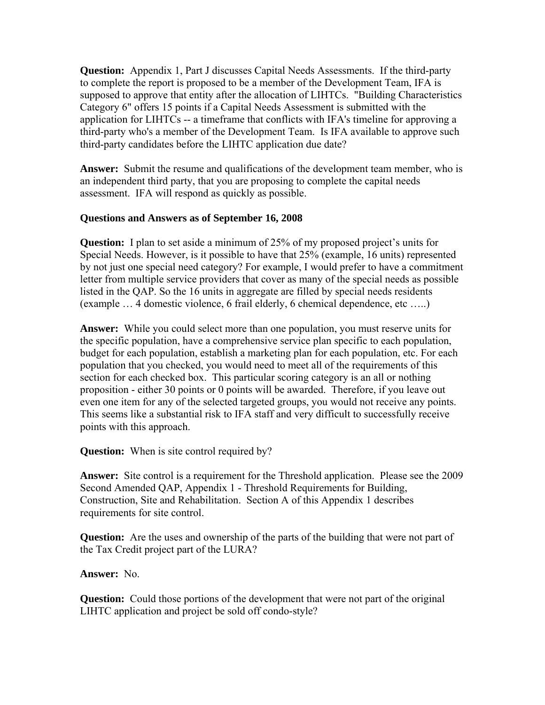**Question:** Appendix 1, Part J discusses Capital Needs Assessments. If the third-party to complete the report is proposed to be a member of the Development Team, IFA is supposed to approve that entity after the allocation of LIHTCs. "Building Characteristics Category 6" offers 15 points if a Capital Needs Assessment is submitted with the application for LIHTCs -- a timeframe that conflicts with IFA's timeline for approving a third-party who's a member of the Development Team. Is IFA available to approve such third-party candidates before the LIHTC application due date?

**Answer:** Submit the resume and qualifications of the development team member, who is an independent third party, that you are proposing to complete the capital needs assessment. IFA will respond as quickly as possible.

## **Questions and Answers as of September 16, 2008**

**Question:** I plan to set aside a minimum of 25% of my proposed project's units for Special Needs. However, is it possible to have that 25% (example, 16 units) represented by not just one special need category? For example, I would prefer to have a commitment letter from multiple service providers that cover as many of the special needs as possible listed in the QAP. So the 16 units in aggregate are filled by special needs residents (example … 4 domestic violence, 6 frail elderly, 6 chemical dependence, etc …..)

**Answer:** While you could select more than one population, you must reserve units for the specific population, have a comprehensive service plan specific to each population, budget for each population, establish a marketing plan for each population, etc. For each population that you checked, you would need to meet all of the requirements of this section for each checked box. This particular scoring category is an all or nothing proposition - either 30 points or 0 points will be awarded. Therefore, if you leave out even one item for any of the selected targeted groups, you would not receive any points. This seems like a substantial risk to IFA staff and very difficult to successfully receive points with this approach.

**Question:** When is site control required by?

**Answer:** Site control is a requirement for the Threshold application. Please see the 2009 Second Amended QAP, Appendix 1 - Threshold Requirements for Building, Construction, Site and Rehabilitation. Section A of this Appendix 1 describes requirements for site control.

**Question:** Are the uses and ownership of the parts of the building that were not part of the Tax Credit project part of the LURA?

#### **Answer:** No.

**Question:** Could those portions of the development that were not part of the original LIHTC application and project be sold off condo-style?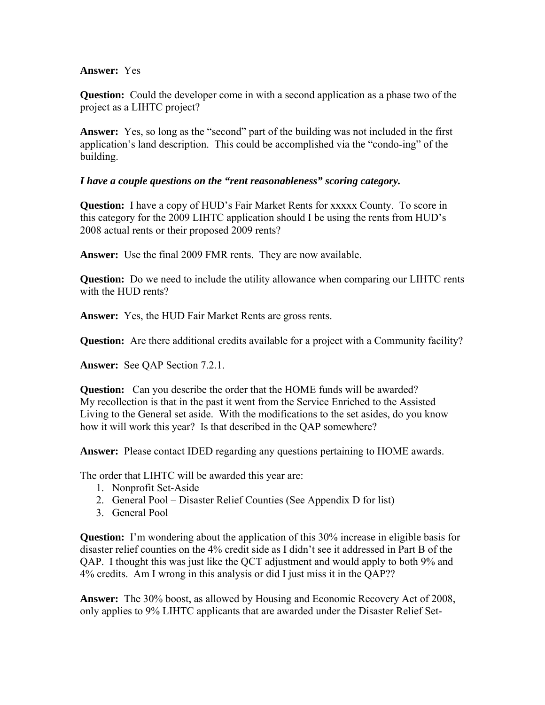#### **Answer:** Yes

**Question:** Could the developer come in with a second application as a phase two of the project as a LIHTC project?

**Answer:** Yes, so long as the "second" part of the building was not included in the first application's land description. This could be accomplished via the "condo-ing" of the building.

## *I have a couple questions on the "rent reasonableness" scoring category.*

**Question:** I have a copy of HUD's Fair Market Rents for xxxxx County. To score in this category for the 2009 LIHTC application should I be using the rents from HUD's 2008 actual rents or their proposed 2009 rents?

**Answer:** Use the final 2009 FMR rents. They are now available.

**Question:** Do we need to include the utility allowance when comparing our LIHTC rents with the HUD rents?

**Answer:** Yes, the HUD Fair Market Rents are gross rents.

**Question:** Are there additional credits available for a project with a Community facility?

**Answer:** See QAP Section 7.2.1.

**Question:** Can you describe the order that the HOME funds will be awarded? My recollection is that in the past it went from the Service Enriched to the Assisted Living to the General set aside. With the modifications to the set asides, do you know how it will work this year? Is that described in the QAP somewhere?

**Answer:** Please contact IDED regarding any questions pertaining to HOME awards.

The order that LIHTC will be awarded this year are:

- 1. Nonprofit Set-Aside
- 2. General Pool Disaster Relief Counties (See Appendix D for list)
- 3. General Pool

**Question:** I'm wondering about the application of this 30% increase in eligible basis for disaster relief counties on the 4% credit side as I didn't see it addressed in Part B of the QAP. I thought this was just like the QCT adjustment and would apply to both 9% and 4% credits. Am I wrong in this analysis or did I just miss it in the QAP??

**Answer:** The 30% boost, as allowed by Housing and Economic Recovery Act of 2008, only applies to 9% LIHTC applicants that are awarded under the Disaster Relief Set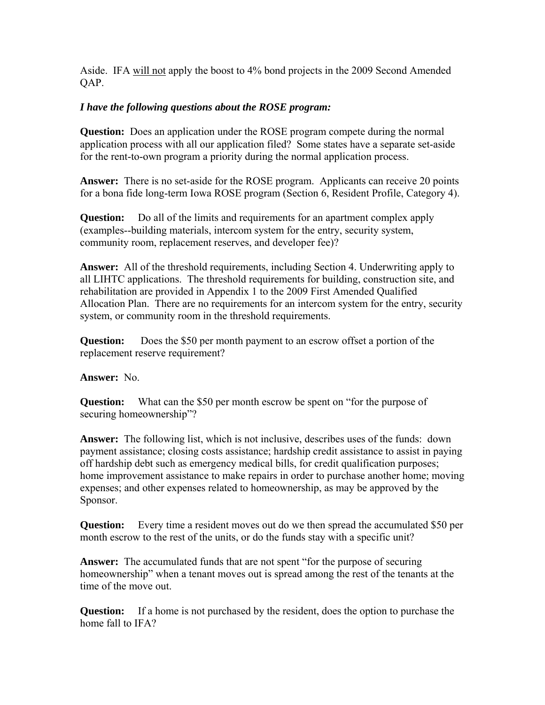Aside. IFA will not apply the boost to 4% bond projects in the 2009 Second Amended QAP.

# *I have the following questions about the ROSE program:*

**Question:** Does an application under the ROSE program compete during the normal application process with all our application filed? Some states have a separate set-aside for the rent-to-own program a priority during the normal application process.

**Answer:** There is no set-aside for the ROSE program. Applicants can receive 20 points for a bona fide long-term Iowa ROSE program (Section 6, Resident Profile, Category 4).

**Question:** Do all of the limits and requirements for an apartment complex apply (examples--building materials, intercom system for the entry, security system, community room, replacement reserves, and developer fee)?

**Answer:** All of the threshold requirements, including Section 4. Underwriting apply to all LIHTC applications. The threshold requirements for building, construction site, and rehabilitation are provided in Appendix 1 to the 2009 First Amended Qualified Allocation Plan. There are no requirements for an intercom system for the entry, security system, or community room in the threshold requirements.

**Question:** Does the \$50 per month payment to an escrow offset a portion of the replacement reserve requirement?

# **Answer:** No.

**Question:** What can the \$50 per month escrow be spent on "for the purpose of securing homeownership"?

**Answer:** The following list, which is not inclusive, describes uses of the funds: down payment assistance; closing costs assistance; hardship credit assistance to assist in paying off hardship debt such as emergency medical bills, for credit qualification purposes; home improvement assistance to make repairs in order to purchase another home; moving expenses; and other expenses related to homeownership, as may be approved by the Sponsor.

**Question:** Every time a resident moves out do we then spread the accumulated \$50 per month escrow to the rest of the units, or do the funds stay with a specific unit?

**Answer:** The accumulated funds that are not spent "for the purpose of securing homeownership" when a tenant moves out is spread among the rest of the tenants at the time of the move out.

**Question:** If a home is not purchased by the resident, does the option to purchase the home fall to IFA?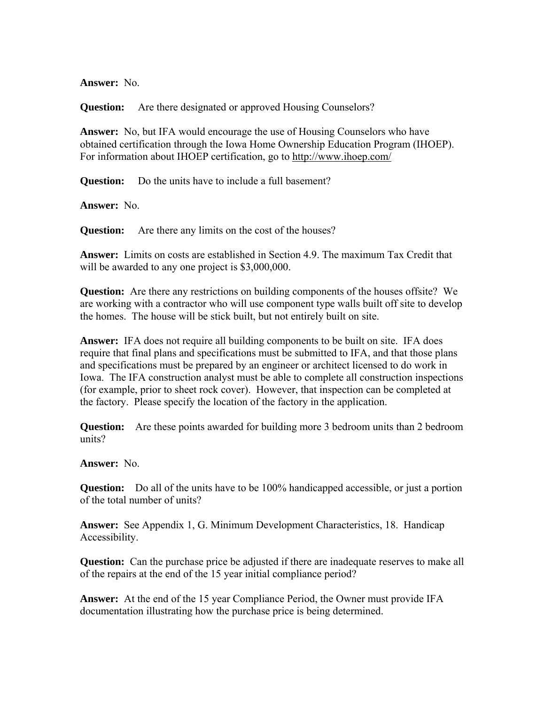**Answer:** No.

**Question:** Are there designated or approved Housing Counselors?

**Answer:** No, but IFA would encourage the use of Housing Counselors who have obtained certification through the Iowa Home Ownership Education Program (IHOEP). For information about IHOEP certification, go to <http://www.ihoep.com/>

**Question:** Do the units have to include a full basement?

**Answer:** No.

**Question:** Are there any limits on the cost of the houses?

**Answer:** Limits on costs are established in Section 4.9. The maximum Tax Credit that will be awarded to any one project is \$3,000,000.

**Question:** Are there any restrictions on building components of the houses offsite? We are working with a contractor who will use component type walls built off site to develop the homes. The house will be stick built, but not entirely built on site.

**Answer:** IFA does not require all building components to be built on site. IFA does require that final plans and specifications must be submitted to IFA, and that those plans and specifications must be prepared by an engineer or architect licensed to do work in Iowa. The IFA construction analyst must be able to complete all construction inspections (for example, prior to sheet rock cover). However, that inspection can be completed at the factory. Please specify the location of the factory in the application.

**Question:** Are these points awarded for building more 3 bedroom units than 2 bedroom units?

**Answer:** No.

**Question:** Do all of the units have to be 100% handicapped accessible, or just a portion of the total number of units?

**Answer:** See Appendix 1, G. Minimum Development Characteristics, 18. Handicap Accessibility.

**Question:** Can the purchase price be adjusted if there are inadequate reserves to make all of the repairs at the end of the 15 year initial compliance period?

**Answer:** At the end of the 15 year Compliance Period, the Owner must provide IFA documentation illustrating how the purchase price is being determined.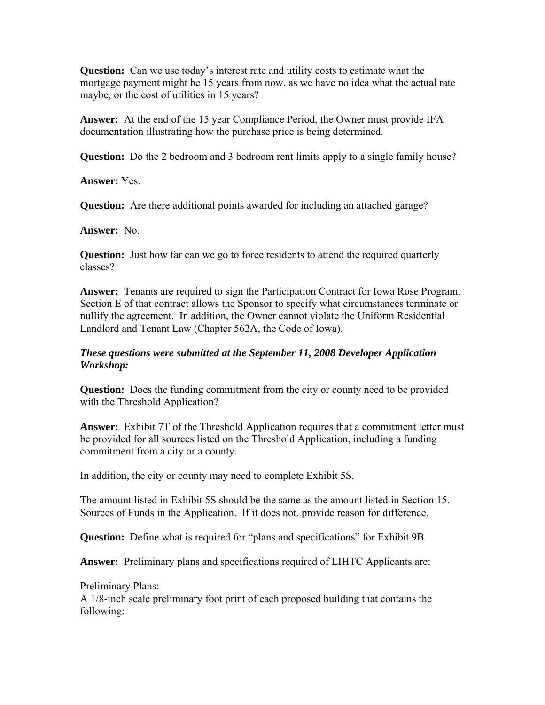**Question:** Can we use today's interest rate and utility costs to estimate what the mortgage payment might be 15 years from now, as we have no idea what the actual rate maybe, or the cost of utilities in 15 years?

**Answer:** At the end of the 15 year Compliance Period, the Owner must provide IFA documentation illustrating how the purchase price is being determined.

**Question:** Do the 2 bedroom and 3 bedroom rent limits apply to a single family house?

**Answer:** Yes.

**Question:** Are there additional points awarded for including an attached garage?

**Answer:** No.

**Question:** Just how far can we go to force residents to attend the required quarterly classes?

**Answer:** Tenants are required to sign the Participation Contract for Iowa Rose Program. Section E of that contract allows the Sponsor to specify what circumstances terminate or nullify the agreement. In addition, the Owner cannot violate the Uniform Residential Landlord and Tenant Law (Chapter 562A, the Code of Iowa).

# *These questions were submitted at the September 11, 2008 Developer Application Workshop:*

**Question:** Does the funding commitment from the city or county need to be provided with the Threshold Application?

**Answer:** Exhibit 7T of the Threshold Application requires that a commitment letter must be provided for all sources listed on the Threshold Application, including a funding commitment from a city or a county.

In addition, the city or county may need to complete Exhibit 5S.

The amount listed in Exhibit 5S should be the same as the amount listed in Section 15. Sources of Funds in the Application. If it does not, provide reason for difference.

**Question:** Define what is required for "plans and specifications" for Exhibit 9B.

**Answer:** Preliminary plans and specifications required of LIHTC Applicants are:

Preliminary Plans:

A 1/8-inch scale preliminary foot print of each proposed building that contains the following: